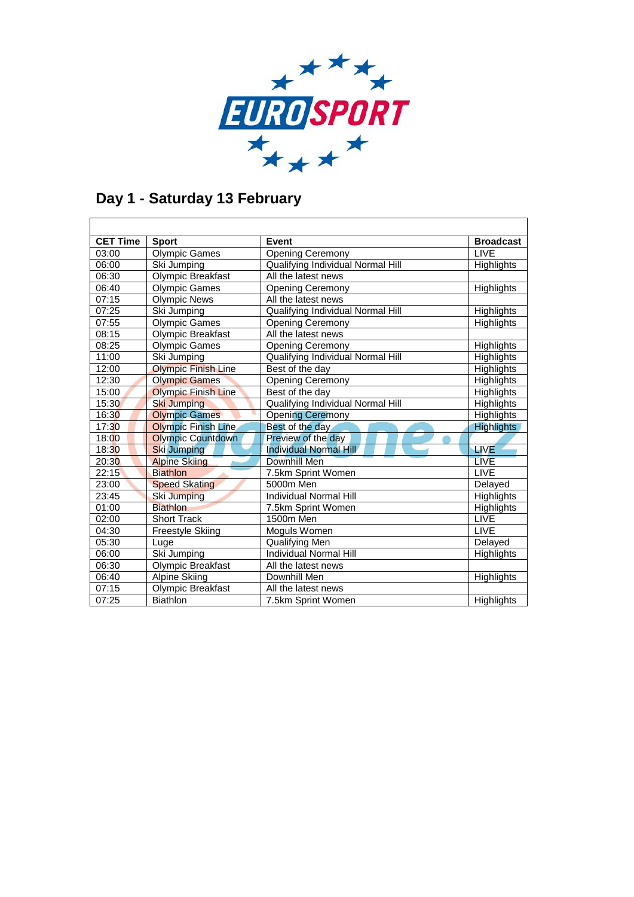

### **Day 1 - Saturday 13 February**

| <b>CET Time</b> | <b>Sport</b>               | Event                                    | <b>Broadcast</b>  |
|-----------------|----------------------------|------------------------------------------|-------------------|
| 03:00           | <b>Olympic Games</b>       | <b>Opening Ceremony</b>                  | LIVE              |
| 06:00           | Ski Jumping                | <b>Qualifying Individual Normal Hill</b> | <b>Highlights</b> |
| 06:30           | Olympic Breakfast          | All the latest news                      |                   |
| 06:40           | <b>Olympic Games</b>       | <b>Opening Ceremony</b>                  | <b>Highlights</b> |
| 07:15           | <b>Olympic News</b>        | All the latest news                      |                   |
| 07:25           | Ski Jumping                | Qualifying Individual Normal Hill        | Highlights        |
| 07:55           | <b>Olympic Games</b>       | <b>Opening Ceremony</b>                  | <b>Highlights</b> |
| 08:15           | <b>Olympic Breakfast</b>   | All the latest news                      |                   |
| 08:25           | <b>Olympic Games</b>       | <b>Opening Ceremony</b>                  | <b>Highlights</b> |
| 11:00           | Ski Jumping                | Qualifying Individual Normal Hill        | Highlights        |
| 12:00           | <b>Olympic Finish Line</b> | Best of the day                          | Highlights        |
| 12:30           | <b>Olympic Games</b>       | <b>Opening Ceremony</b>                  | <b>Highlights</b> |
| 15:00           | <b>Olympic Finish Line</b> | Best of the day                          | <b>Highlights</b> |
| 15:30           | <b>Ski Jumping</b>         | Qualifying Individual Normal Hill        | Highlights        |
| 16:30           | <b>Olympic Games</b>       | <b>Opening Ceremony</b>                  | Highlights        |
| 17:30           | <b>Olympic Finish Line</b> | Best of the day                          | <b>Highlights</b> |
| 18:00           | <b>Olympic Countdown</b>   | Preview of the day                       |                   |
| 18:30           | <b>Ski Jumping</b>         | Individual Normal Hill                   | <b>LIVE</b>       |
| 20:30           | <b>Alpine Skiing</b>       | Downhill Men                             | <b>LIVE</b>       |
| 22:15           | <b>Biathlon</b>            | 7.5km Sprint Women                       | LIVE              |
| 23:00           | <b>Speed Skating</b>       | 5000m Men                                | Delayed           |
| 23:45           | Ski Jumping                | Individual Normal Hill                   | Highlights        |
| 01:00           | <b>Biathlon</b>            | 7.5km Sprint Women                       | Highlights        |
| 02:00           | <b>Short Track</b>         | 1500m Men                                | <b>LIVE</b>       |
| 04:30           | Freestyle Skiing           | Moguls Women                             | <b>LIVE</b>       |
| 05:30           | Luge                       | Qualifying Men                           | Delayed           |
| 06:00           | Ski Jumping                | <b>Individual Normal Hill</b>            | <b>Highlights</b> |
| 06:30           | Olympic Breakfast          | All the latest news                      |                   |
| 06:40           | <b>Alpine Skiing</b>       | Downhill Men                             | Highlights        |
| 07:15           | <b>Olympic Breakfast</b>   | All the latest news                      |                   |
| 07:25           | <b>Biathlon</b>            | 7.5km Sprint Women                       | <b>Highlights</b> |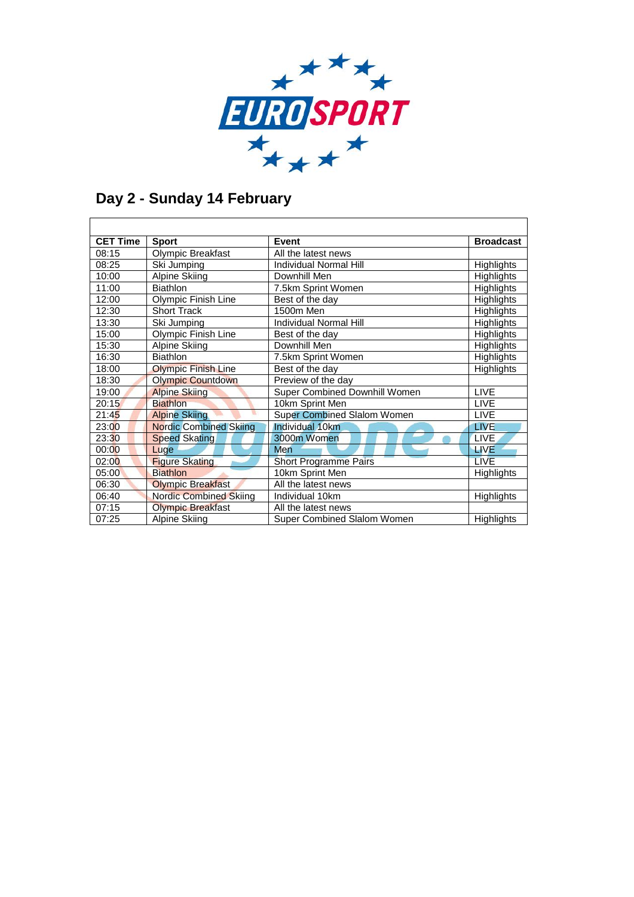

### **Day 2 - Sunday 14 February**

| <b>CET Time</b> | <b>Sport</b>                  | Event                              | <b>Broadcast</b> |
|-----------------|-------------------------------|------------------------------------|------------------|
| 08:15           | Olympic Breakfast             | All the latest news                |                  |
| 08:25           | Ski Jumping                   | Individual Normal Hill             | Highlights       |
| 10:00           | Alpine Skiing                 | Downhill Men                       | Highlights       |
| 11:00           | <b>Biathlon</b>               | 7.5km Sprint Women                 | Highlights       |
| 12:00           | Olympic Finish Line           | Best of the day                    | Highlights       |
| 12:30           | <b>Short Track</b>            | 1500m Men                          | Highlights       |
| 13:30           | Ski Jumping                   | Individual Normal Hill             | Highlights       |
| 15:00           | Olympic Finish Line           | Best of the day                    | Highlights       |
| 15:30           | Alpine Skiing                 | Downhill Men                       | Highlights       |
| 16:30           | <b>Biathlon</b>               | 7.5km Sprint Women                 | Highlights       |
| 18:00           | <b>Olympic Finish Line</b>    | Best of the day                    | Highlights       |
| 18:30           | <b>Olympic Countdown</b>      | Preview of the day                 |                  |
| 19:00           | <b>Alpine Skiing</b>          | Super Combined Downhill Women      | <b>LIVE</b>      |
| 20:15           | <b>Biathlon</b>               | 10km Sprint Men                    | <b>LIVE</b>      |
| 21:45           | <b>Alpine Skiing</b>          | <b>Super Combined Slalom Women</b> | <b>LIVE</b>      |
| 23:00           | <b>Nordic Combined Skiing</b> | Individual 10km                    | <b>LIVE</b>      |
| 23:30           | <b>Speed Skating</b>          | 3000m Women                        | <b>LIVE</b>      |
| 00:00           | Luge                          | Men                                | <b>LIVE</b>      |
| 02:00           | <b>Figure Skating</b>         | <b>Short Programme Pairs</b>       | <b>LIVE</b>      |
| 05:00           | <b>Biathlon</b>               | 10km Sprint Men                    | Highlights       |
| 06:30           | <b>Olympic Breakfast</b>      | All the latest news                |                  |
| 06:40           | <b>Nordic Combined Skiing</b> | Individual 10km                    | Highlights       |
| 07:15           | <b>Olympic Breakfast</b>      | All the latest news                |                  |
| 07:25           | <b>Alpine Skiing</b>          | Super Combined Slalom Women        | Highlights       |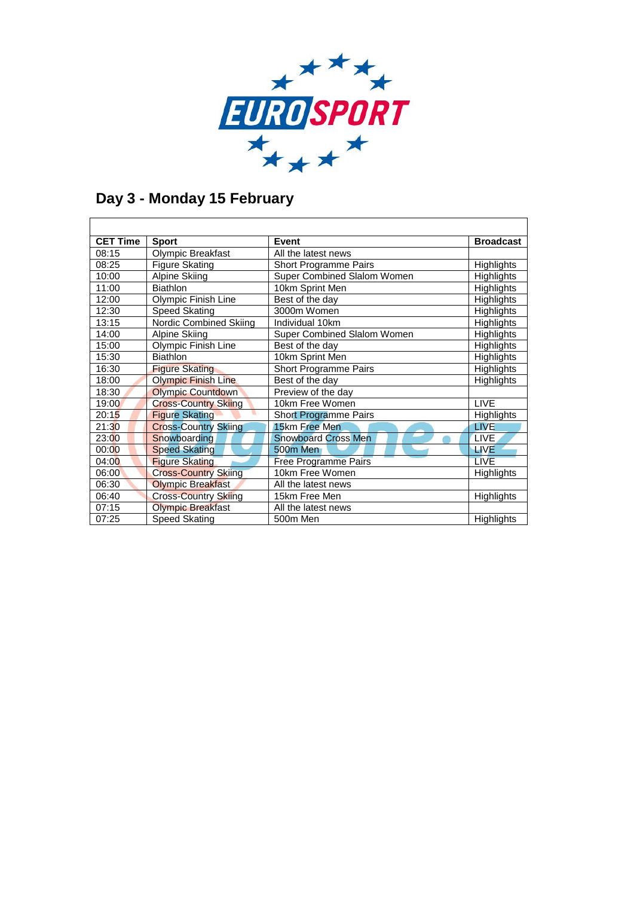

### **Day 3 - Monday 15 February**

| <b>CET Time</b> | <b>Sport</b>                | Event                        | <b>Broadcast</b> |
|-----------------|-----------------------------|------------------------------|------------------|
| 08:15           | <b>Olympic Breakfast</b>    | All the latest news          |                  |
| 08:25           | <b>Figure Skating</b>       | Short Programme Pairs        | Highlights       |
| 10:00           | Alpine Skiing               | Super Combined Slalom Women  | Highlights       |
| 11:00           | <b>Biathlon</b>             | 10km Sprint Men              | Highlights       |
| 12:00           | Olympic Finish Line         | Best of the day              | Highlights       |
| 12:30           | Speed Skating               | 3000m Women                  | Highlights       |
| 13:15           | Nordic Combined Skiing      | Individual 10km              | Highlights       |
| 14:00           | Alpine Skiing               | Super Combined Slalom Women  | Highlights       |
| 15:00           | Olympic Finish Line         | Best of the day              | Highlights       |
| 15:30           | <b>Biathlon</b>             | 10km Sprint Men              | Highlights       |
| 16:30           | <b>Figure Skating</b>       | Short Programme Pairs        | Highlights       |
| 18:00           | <b>Olympic Finish Line</b>  | Best of the day              | Highlights       |
| 18:30           | <b>Olympic Countdown</b>    | Preview of the day           |                  |
| 19:00           | <b>Cross-Country Skiing</b> | 10km Free Women              | <b>LIVE</b>      |
| 20:15           | <b>Figure Skating</b>       | <b>Short Programme Pairs</b> | Highlights       |
| 21:30           | <b>Cross-Country Skiing</b> | 15km Free Men                | <b>LIVE</b>      |
| 23:00           | <b>Snowboarding</b>         | <b>Snowboard Cross Men</b>   | LIVE,            |
| 00:00           | <b>Speed Skating</b>        | 500m Men                     | <b>LIVE</b>      |
| 04:00           | <b>Figure Skating</b>       | <b>Free Programme Pairs</b>  | <b>LIVE</b>      |
| 06:00           | <b>Cross-Country Skiing</b> | 10km Free Women              | Highlights       |
| 06:30           | <b>Olympic Breakfast</b>    | All the latest news          |                  |
| 06:40           | <b>Cross-Country Skiing</b> | 15km Free Men                | Highlights       |
| 07:15           | <b>Olympic Breakfast</b>    | All the latest news          |                  |
| 07:25           | Speed Skating               | 500m Men                     | Highlights       |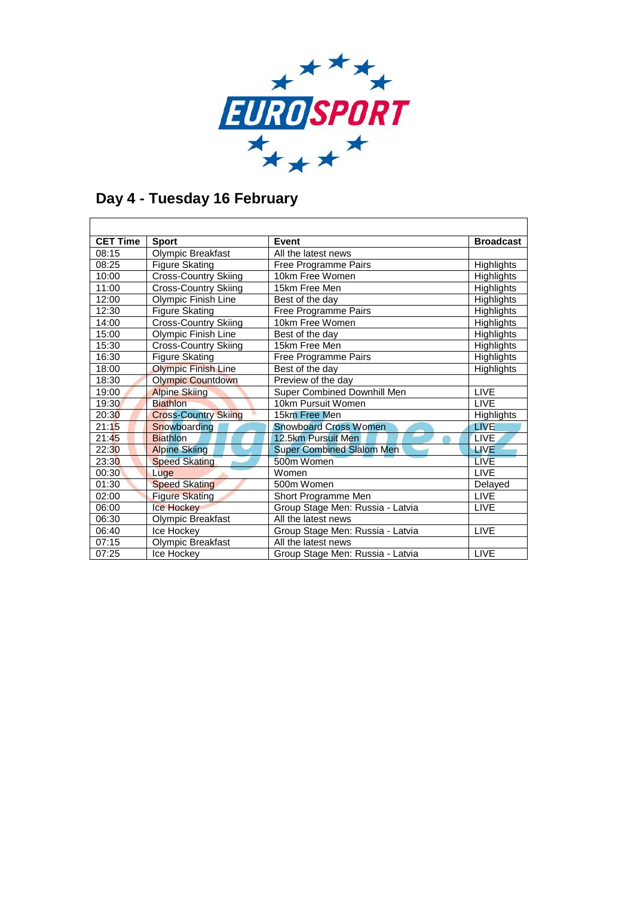

# **Day 4 - Tuesday 16 February**

| <b>CET Time</b> | <b>Sport</b>                | Event                            | <b>Broadcast</b>  |
|-----------------|-----------------------------|----------------------------------|-------------------|
| 08:15           | Olympic Breakfast           | All the latest news              |                   |
| 08:25           | <b>Figure Skating</b>       | Free Programme Pairs             | Highlights        |
| 10:00           | <b>Cross-Country Skiing</b> | 10km Free Women                  | <b>Highlights</b> |
| 11:00           | <b>Cross-Country Skiing</b> | 15km Free Men                    | <b>Highlights</b> |
| 12:00           | Olympic Finish Line         | Best of the day                  | <b>Highlights</b> |
| 12:30           | <b>Figure Skating</b>       | Free Programme Pairs             | Highlights        |
| 14:00           | <b>Cross-Country Skiing</b> | 10km Free Women                  | Highlights        |
| 15:00           | Olympic Finish Line         | Best of the day                  | <b>Highlights</b> |
| 15:30           | <b>Cross-Country Skiing</b> | 15km Free Men                    | Highlights        |
| 16:30           | <b>Figure Skating</b>       | Free Programme Pairs             | Highlights        |
| 18:00           | <b>Olympic Finish Line</b>  | Best of the day                  | Highlights        |
| 18:30           | <b>Olympic Countdown</b>    | Preview of the day               |                   |
| 19:00           | <b>Alpine Skiing</b>        | Super Combined Downhill Men      | <b>LIVE</b>       |
| 19:30           | <b>Biathlon</b>             | 10km Pursuit Women               | <b>LIVE</b>       |
| 20:30           | <b>Cross-Country Skiing</b> | 15km Free Men                    | Highlights        |
| 21:15           | Snowboarding                | <b>Snowboard Cross Women</b>     | <b>LIVE</b>       |
| 21:45           | <b>Biathlon</b>             | 12.5km Pursuit Men               | <b>LIVE</b>       |
| 22:30           | <b>Alpine Skiing</b>        | <b>Super Combined Slalom Men</b> | <b>LIVE</b>       |
| 23:30           | <b>Speed Skating</b>        | 500m Women                       | <b>LIVE</b>       |
| 00:30           | Luge                        | Women                            | <b>LIVE</b>       |
| 01:30           | <b>Speed Skating</b>        | 500m Women                       | Delayed           |
| 02:00           | <b>Figure Skating</b>       | Short Programme Men              | <b>LIVE</b>       |
| 06:00           | <b>Ice Hockey</b>           | Group Stage Men: Russia - Latvia | <b>LIVE</b>       |
| 06:30           | Olympic Breakfast           | All the latest news              |                   |
| 06:40           | Ice Hockey                  | Group Stage Men: Russia - Latvia | <b>LIVE</b>       |
| 07:15           | Olympic Breakfast           | All the latest news              |                   |
| 07:25           | Ice Hockev                  | Group Stage Men: Russia - Latvia | <b>LIVE</b>       |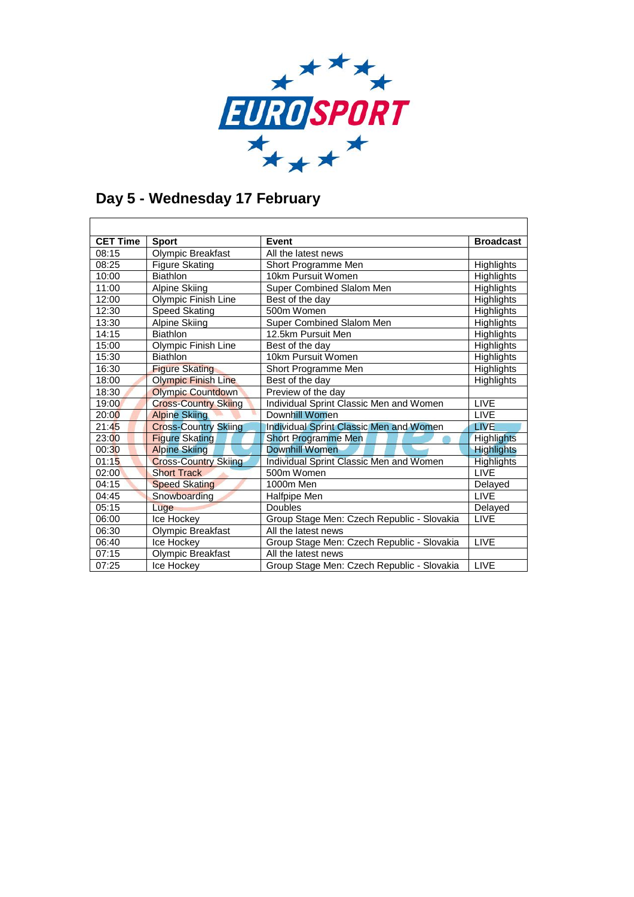

### **Day 5 - Wednesday 17 February**

| <b>CET Time</b> | <b>Sport</b>                | <b>Event</b>                                   | <b>Broadcast</b>  |
|-----------------|-----------------------------|------------------------------------------------|-------------------|
| 08:15           | Olympic Breakfast           | All the latest news                            |                   |
| 08:25           | <b>Figure Skating</b>       | Short Programme Men                            | <b>Highlights</b> |
| 10:00           | <b>Biathlon</b>             | 10km Pursuit Women                             | <b>Highlights</b> |
| 11:00           | Alpine Skiing               | Super Combined Slalom Men                      | Highlights        |
| 12:00           | Olympic Finish Line         | Best of the day                                | Highlights        |
| 12:30           | Speed Skating               | 500m Women                                     | <b>Highlights</b> |
| 13:30           | <b>Alpine Skiing</b>        | Super Combined Slalom Men                      | Highlights        |
| 14:15           | <b>Biathlon</b>             | 12.5km Pursuit Men                             | <b>Highlights</b> |
| 15:00           | Olympic Finish Line         | Best of the day                                | Highlights        |
| 15:30           | <b>Biathlon</b>             | 10km Pursuit Women                             | <b>Highlights</b> |
| 16:30           | <b>Figure Skating</b>       | Short Programme Men                            | Highlights        |
| 18:00           | <b>Olympic Finish Line</b>  | Best of the day                                | Highlights        |
| 18:30           | <b>Olympic Countdown</b>    | Preview of the day                             |                   |
| 19:00           | <b>Cross-Country Skiing</b> | Individual Sprint Classic Men and Women        | <b>LIVE</b>       |
| 20:00           | <b>Alpine Skiing</b>        | Downhill Women                                 | <b>LIVE</b>       |
| 21:45           | <b>Cross-Country Skiing</b> | Individual Sprint Classic Men and Women        | <b>LIVE</b>       |
| 23:00           | <b>Figure Skating</b>       | <b>Short Programme Men</b>                     | <b>Highlights</b> |
| 00:30           | <b>Alpine Skiing</b>        | Downhill Women                                 | <b>Highlights</b> |
| 01:15           | <b>Cross-Country Skiing</b> | <b>Individual Sprint Classic Men and Women</b> | <b>Highlights</b> |
| 02:00           | <b>Short Track</b>          | 500m Women                                     | <b>LIVE</b>       |
| 04:15           | <b>Speed Skating</b>        | 1000m Men                                      | Delayed           |
| 04:45           | Snowboarding                | Halfpipe Men                                   | <b>LIVE</b>       |
| 05:15           | Luge                        | Doubles                                        | Delayed           |
| 06:00           | Ice Hockey                  | Group Stage Men: Czech Republic - Slovakia     | LIVE              |
| 06:30           | Olympic Breakfast           | All the latest news                            |                   |
| 06:40           | Ice Hockey                  | Group Stage Men: Czech Republic - Slovakia     | <b>LIVE</b>       |
| 07:15           | Olympic Breakfast           | All the latest news                            |                   |
| 07:25           | Ice Hockev                  | Group Stage Men: Czech Republic - Slovakia     | <b>LIVE</b>       |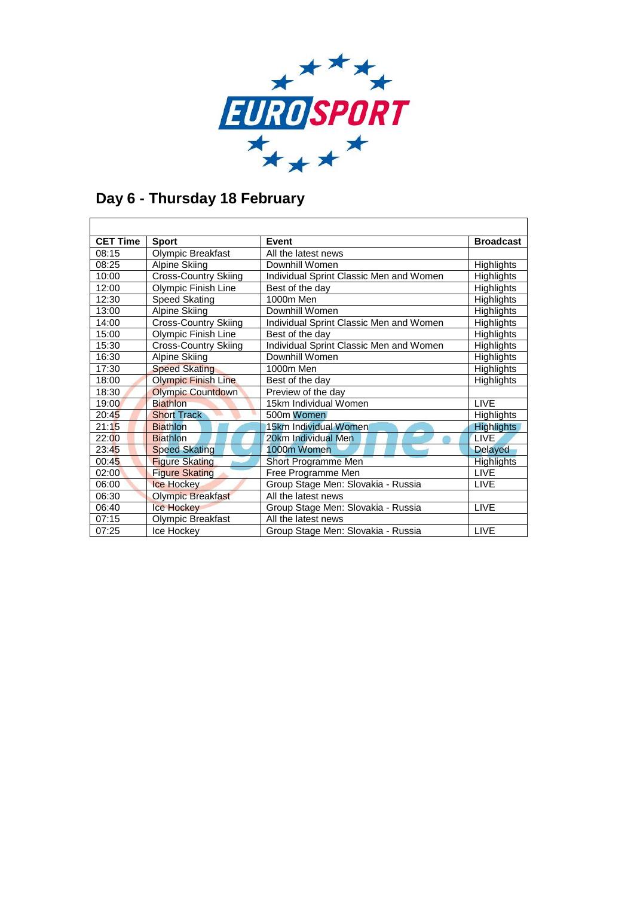

### **Day 6 - Thursday 18 February**

| <b>CET Time</b> | <b>Sport</b>                | Event                                   | <b>Broadcast</b>  |
|-----------------|-----------------------------|-----------------------------------------|-------------------|
| 08:15           | Olympic Breakfast           | All the latest news                     |                   |
| 08:25           | Alpine Skiing               | Downhill Women                          | Highlights        |
| 10:00           | <b>Cross-Country Skiing</b> | Individual Sprint Classic Men and Women | <b>Highlights</b> |
| 12:00           | Olympic Finish Line         | Best of the day                         | Highlights        |
| 12:30           | Speed Skating               | 1000m Men                               | Highlights        |
| 13:00           | Alpine Skiing               | Downhill Women                          | <b>Highlights</b> |
| 14:00           | <b>Cross-Country Skiing</b> | Individual Sprint Classic Men and Women | <b>Highlights</b> |
| 15:00           | Olympic Finish Line         | Best of the day                         | Highlights        |
| 15:30           | <b>Cross-Country Skiing</b> | Individual Sprint Classic Men and Women | Highlights        |
| 16:30           | Alpine Skiing               | Downhill Women                          | Highlights        |
| 17:30           | <b>Speed Skating</b>        | 1000m Men                               | Highlights        |
| 18:00           | <b>Olympic Finish Line</b>  | Best of the day                         | Highlights        |
| 18:30           | <b>Olympic Countdown</b>    | Preview of the day                      |                   |
| 19:00           | <b>Biathlon</b>             | 15km Individual Women                   | <b>LIVE</b>       |
| 20:45           | <b>Short Track</b>          | 500m Women                              | <b>Highlights</b> |
| 21:15           | <b>Biathlon</b>             | 15km Individual Women                   | <b>Highlights</b> |
| 22:00           | <b>Biathlon</b>             | 20km Individual Men                     | <b>LIVE</b>       |
| 23:45           | <b>Speed Skating</b>        | 1000m Women                             | <b>Delayed</b>    |
| 00:45           | <b>Figure Skating</b>       | Short Programme Men                     | <b>Highlights</b> |
| 02:00           | <b>Figure Skating</b>       | Free Programme Men                      | <b>LIVE</b>       |
| 06:00           | <b>Ice Hockey</b>           | Group Stage Men: Slovakia - Russia      | <b>LIVE</b>       |
| 06:30           | <b>Olympic Breakfast</b>    | All the latest news                     |                   |
| 06:40           | <b>Ice Hockey</b>           | Group Stage Men: Slovakia - Russia      | <b>LIVE</b>       |
| 07:15           | Olympic Breakfast           | All the latest news                     |                   |
| 07:25           | Ice Hockey                  | Group Stage Men: Slovakia - Russia      | <b>LIVE</b>       |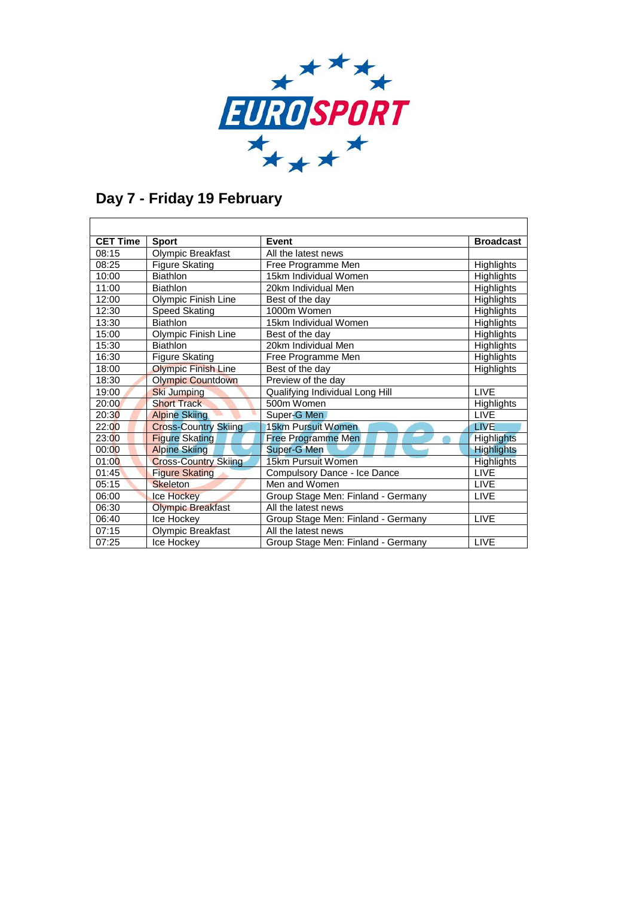

## **Day 7 - Friday 19 February**

| <b>CET Time</b> | <b>Sport</b>                | Event                              | <b>Broadcast</b>  |
|-----------------|-----------------------------|------------------------------------|-------------------|
| 08:15           | Olympic Breakfast           | All the latest news                |                   |
| 08:25           | <b>Figure Skating</b>       | Free Programme Men                 | Highlights        |
| 10:00           | <b>Biathlon</b>             | 15km Individual Women              | Highlights        |
| 11:00           | <b>Biathlon</b>             | 20km Individual Men                | <b>Highlights</b> |
| 12:00           | Olympic Finish Line         | Best of the day                    | Highlights        |
| 12:30           | Speed Skating               | 1000m Women                        | Highlights        |
| 13:30           | <b>Biathlon</b>             | 15km Individual Women              | <b>Highlights</b> |
| 15:00           | Olympic Finish Line         | Best of the day                    | Highlights        |
| 15:30           | <b>Biathlon</b>             | 20km Individual Men                | Highlights        |
| 16:30           | <b>Figure Skating</b>       | Free Programme Men                 | Highlights        |
| 18:00           | <b>Olympic Finish Line</b>  | Best of the day                    | Highlights        |
| 18:30           | <b>Olympic Countdown</b>    | Preview of the day                 |                   |
| 19:00           | <b>Ski Jumping</b>          | Qualifying Individual Long Hill    | <b>LIVE</b>       |
| 20:00           | <b>Short Track</b>          | 500m Women                         | Highlights        |
| 20:30           | <b>Alpine Skiing</b>        | Super-G Men                        | <b>LIVE</b>       |
| 22:00           | <b>Cross-Country Skiing</b> | 15km Pursuit Women                 | <b>LIVE</b>       |
| 23:00           | <b>Figure Skating</b>       | <b>Free Programme Men</b>          | <b>Highlights</b> |
| 00:00           | <b>Alpine Skiing</b>        | Super-G Men                        | <b>Highlights</b> |
| 01:00           | <b>Cross-Country Skiing</b> | 15km Pursuit Women                 | <b>Highlights</b> |
| 01:45           | <b>Figure Skating</b>       | Compulsory Dance - Ice Dance       | <b>LIVE</b>       |
| 05:15           | <b>Skeleton</b>             | Men and Women                      | <b>LIVE</b>       |
| 06:00           | <b>Ice Hockey</b>           | Group Stage Men: Finland - Germany | <b>LIVE</b>       |
| 06:30           | <b>Olympic Breakfast</b>    | All the latest news                |                   |
| 06:40           | Ice Hockey                  | Group Stage Men: Finland - Germany | <b>LIVE</b>       |
| 07:15           | Olympic Breakfast           | All the latest news                |                   |
| 07:25           | Ice Hockev                  | Group Stage Men: Finland - Germany | <b>LIVE</b>       |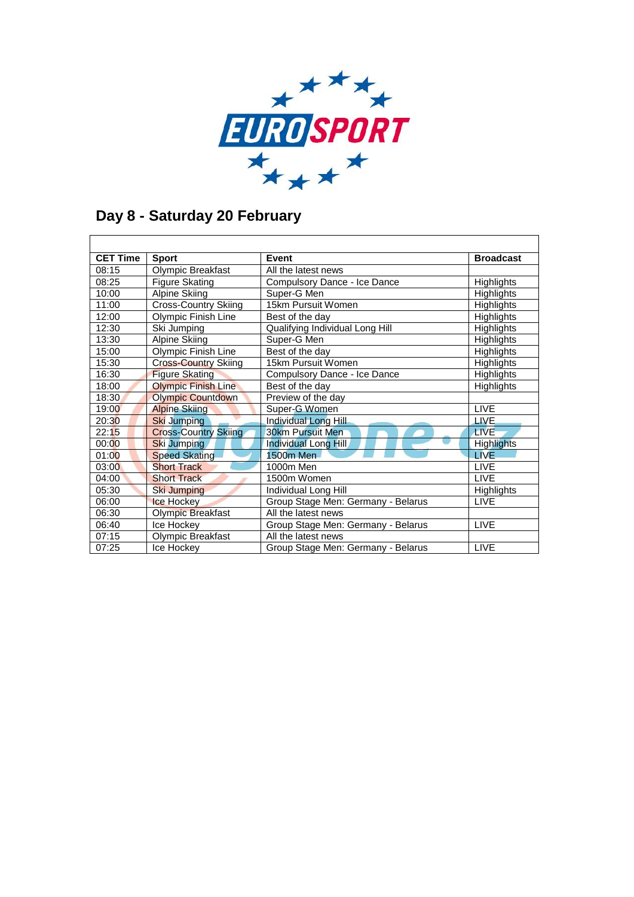

#### **Day 8 - Saturday 20 February**

| <b>CET Time</b> | <b>Sport</b>                | Event                              | <b>Broadcast</b>  |
|-----------------|-----------------------------|------------------------------------|-------------------|
| 08:15           | Olympic Breakfast           | All the latest news                |                   |
| 08:25           | Figure Skating              | Compulsory Dance - Ice Dance       | Highlights        |
| 10:00           | Alpine Skiing               | Super-G Men                        | Highlights        |
| 11:00           | <b>Cross-Country Skiing</b> | 15km Pursuit Women                 | Highlights        |
| 12:00           | Olympic Finish Line         | Best of the day                    | Highlights        |
| 12:30           | Ski Jumping                 | Qualifying Individual Long Hill    | <b>Highlights</b> |
| 13:30           | Alpine Skiing               | Super-G Men                        | Highlights        |
| 15:00           | Olympic Finish Line         | Best of the day                    | Highlights        |
| 15:30           | <b>Cross-Country Skiing</b> | 15km Pursuit Women                 | <b>Highlights</b> |
| 16:30           | <b>Figure Skating</b>       | Compulsory Dance - Ice Dance       | Highlights        |
| 18:00           | <b>Olympic Finish Line</b>  | Best of the day                    | Highlights        |
| 18:30           | <b>Olympic Countdown</b>    | Preview of the day                 |                   |
| 19:00           | <b>Alpine Skiing</b>        | Super-G Women                      | <b>LIVE</b>       |
| 20:30           | <b>Ski Jumping</b>          | Individual Long Hill               | LIVE.             |
| 22:15           | <b>Cross-Country Skiing</b> | 30km Pursuit Men                   | <b>LIVE</b>       |
| 00:00           | Ski Jumping                 | Individual Long Hill               | <b>Highlights</b> |
| 01:00           | <b>Speed Skating</b>        | <b>1500m Men</b>                   | <b>LIVE</b>       |
| 03:00           | <b>Short Track</b>          | 1000m Men                          | <b>LIVE</b>       |
| 04:00           | <b>Short Track</b>          | 1500m Women                        | <b>LIVE</b>       |
| 05:30           | Ski Jumping                 | Individual Long Hill               | Highlights        |
| 06:00           | <b>Ice Hockey</b>           | Group Stage Men: Germany - Belarus | <b>LIVE</b>       |
| 06:30           | <b>Olympic Breakfast</b>    | All the latest news                |                   |
| 06:40           | Ice Hockey                  | Group Stage Men: Germany - Belarus | <b>LIVE</b>       |
| 07:15           | <b>Olympic Breakfast</b>    | All the latest news                |                   |
| 07:25           | Ice Hockey                  | Group Stage Men: Germany - Belarus | <b>LIVE</b>       |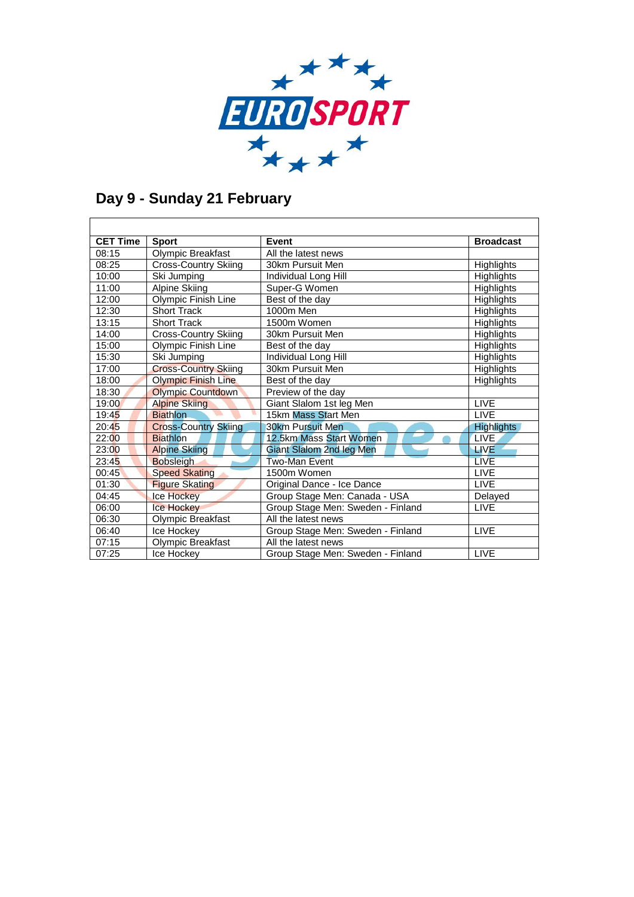

### **Day 9 - Sunday 21 February**

| <b>CET Time</b> | <b>Sport</b>                | Event                             | <b>Broadcast</b>  |
|-----------------|-----------------------------|-----------------------------------|-------------------|
| 08:15           | Olympic Breakfast           | All the latest news               |                   |
| 08:25           | <b>Cross-Country Skiing</b> | 30km Pursuit Men                  | <b>Highlights</b> |
| 10:00           | Ski Jumping                 | Individual Long Hill              | <b>Highlights</b> |
| 11:00           | <b>Alpine Skiing</b>        | Super-G Women                     | Highlights        |
| 12:00           | Olympic Finish Line         | Best of the day                   | <b>Highlights</b> |
| 12:30           | <b>Short Track</b>          | 1000m Men                         | Highlights        |
| 13:15           | <b>Short Track</b>          | 1500m Women                       | Highlights        |
| 14:00           | <b>Cross-Country Skiing</b> | 30km Pursuit Men                  | Highlights        |
| 15:00           | Olympic Finish Line         | Best of the day                   | Highlights        |
| 15:30           | Ski Jumping                 | Individual Long Hill              | Highlights        |
| 17:00           | <b>Cross-Country Skiing</b> | 30km Pursuit Men                  | Highlights        |
| 18:00           | <b>Olympic Finish Line</b>  | Best of the day                   | <b>Highlights</b> |
| 18:30           | <b>Olympic Countdown</b>    | Preview of the day                |                   |
| 19:00           | <b>Alpine Skiing</b>        | Giant Slalom 1st leg Men          | <b>LIVE</b>       |
| 19:45           | <b>Biathlon</b>             | 15km Mass Start Men               | LIVE.             |
| 20:45           | <b>Cross-Country Skiing</b> | <b>30km Pursuit Men</b>           | <b>Highlights</b> |
| 22:00           | <b>Biathlon</b>             | 12.5km Mass Start Women           | <b>LIVE</b>       |
| 23:00           | <b>Alpine Skiing</b>        | Giant Slalom 2nd leg Men          | <b>LIVE</b>       |
| 23:45           | <b>Bobsleigh</b>            | Two-Man Event                     | <b>LIVE</b>       |
| 00:45           | <b>Speed Skating</b>        | 1500m Women                       | <b>LIVE</b>       |
| 01:30           | <b>Figure Skating</b>       | Original Dance - Ice Dance        | <b>LIVE</b>       |
| 04:45           | <b>Ice Hockey</b>           | Group Stage Men: Canada - USA     | Delayed           |
| 06:00           | <b>Ice Hockey</b>           | Group Stage Men: Sweden - Finland | <b>LIVE</b>       |
| 06:30           | Olympic Breakfast           | All the latest news               |                   |
| 06:40           | Ice Hockey                  | Group Stage Men: Sweden - Finland | <b>LIVE</b>       |
| 07:15           | Olympic Breakfast           | All the latest news               |                   |
| 07:25           | Ice Hockev                  | Group Stage Men: Sweden - Finland | <b>LIVE</b>       |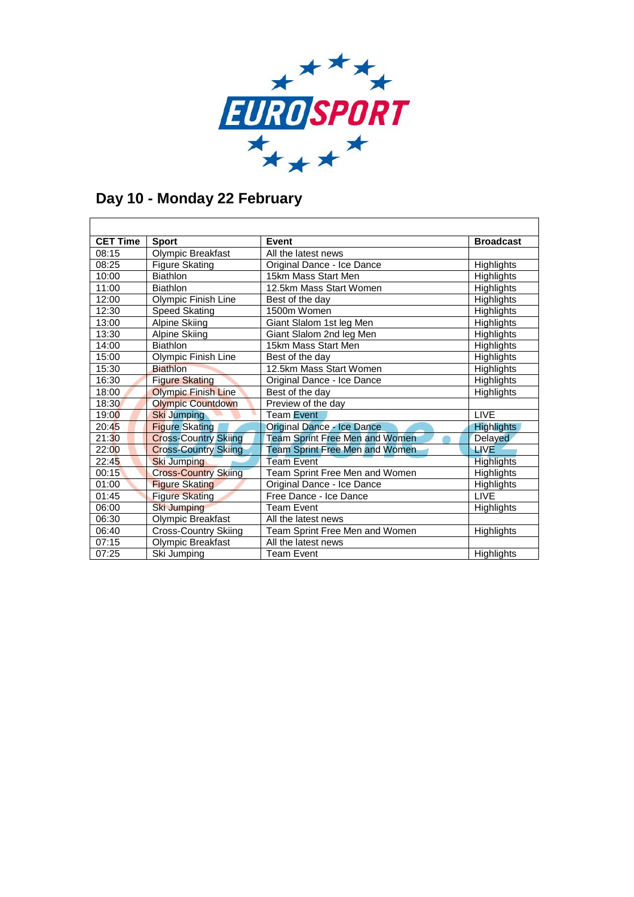

### **Day 10 - Monday 22 February**

| <b>CET Time</b> | <b>Sport</b>                | Event                                 | <b>Broadcast</b>  |
|-----------------|-----------------------------|---------------------------------------|-------------------|
| 08:15           | Olympic Breakfast           | All the latest news                   |                   |
| 08:25           | <b>Figure Skating</b>       | Original Dance - Ice Dance            | Highlights        |
| 10:00           | <b>Biathlon</b>             | 15km Mass Start Men                   | Highlights        |
| 11:00           | <b>Biathlon</b>             | 12.5km Mass Start Women               | Highlights        |
| 12:00           | Olympic Finish Line         | Best of the day                       | <b>Highlights</b> |
| 12:30           | Speed Skating               | 1500m Women                           | Highlights        |
| 13:00           | Alpine Skiing               | Giant Slalom 1st leg Men              | <b>Highlights</b> |
| 13:30           | Alpine Skiing               | Giant Slalom 2nd leg Men              | Highlights        |
| 14:00           | <b>Biathlon</b>             | 15km Mass Start Men                   | Highlights        |
| 15:00           | <b>Olympic Finish Line</b>  | Best of the day                       | Highlights        |
| 15:30           | <b>Biathlon</b>             | 12.5km Mass Start Women               | Highlights        |
| 16:30           | <b>Figure Skating</b>       | Original Dance - Ice Dance            | Highlights        |
| 18:00           | <b>Olympic Finish Line</b>  | Best of the day                       | Highlights        |
| 18:30           | <b>Olympic Countdown</b>    | Preview of the day                    |                   |
| 19:00           | <b>Ski Jumping</b>          | Team Event                            | <b>LIVE</b>       |
| 20:45           | <b>Figure Skating</b>       | Original Dance - Ice Dance            | <b>Highlights</b> |
| 21:30           | <b>Cross-Country Skiing</b> | <b>Team Sprint Free Men and Women</b> | Delayed           |
| 22:00           | <b>Cross-Country Skiing</b> | <b>Team Sprint Free Men and Women</b> | <b>LIVE</b>       |
| 22:45           | <b>Ski Jumping</b>          | <b>Team Event</b>                     | <b>Highlights</b> |
| 00:15           | <b>Cross-Country Skiing</b> | Team Sprint Free Men and Women        | Highlights        |
| 01:00           | <b>Figure Skating</b>       | Original Dance - Ice Dance            | Highlights        |
| 01:45           | <b>Figure Skating</b>       | Free Dance - Ice Dance                | <b>LIVE</b>       |
| 06:00           | <b>Ski Jumping</b>          | Team Event                            | <b>Highlights</b> |
| 06:30           | Olympic Breakfast           | All the latest news                   |                   |
| 06:40           | <b>Cross-Country Skiing</b> | Team Sprint Free Men and Women        | Highlights        |
| 07:15           | Olympic Breakfast           | All the latest news                   |                   |
| 07:25           | Ski Jumping                 | <b>Team Event</b>                     | Highlights        |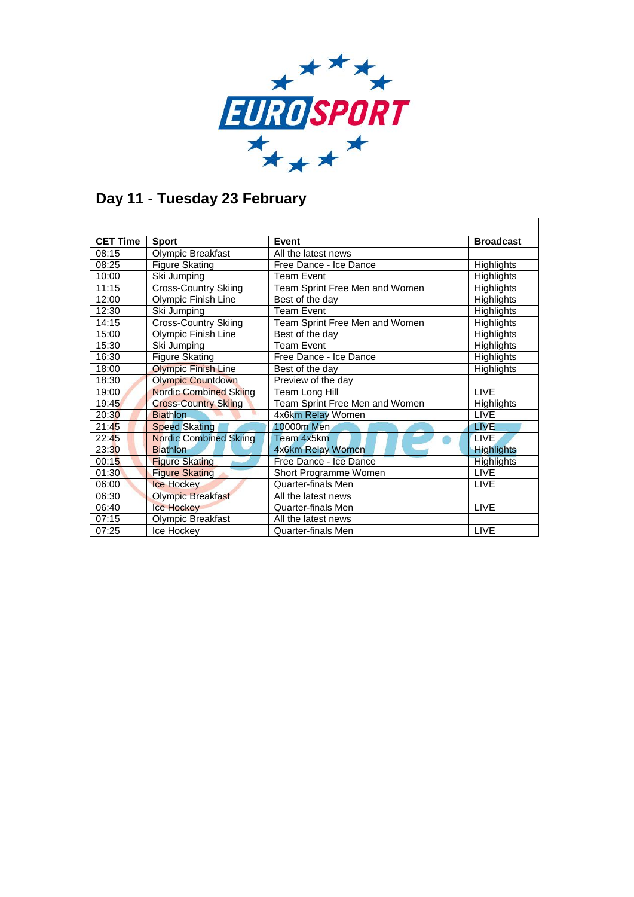

## **Day 11 - Tuesday 23 February**

| <b>CET Time</b> | <b>Sport</b>                  | Event                          | <b>Broadcast</b>  |
|-----------------|-------------------------------|--------------------------------|-------------------|
| 08:15           | Olympic Breakfast             | All the latest news            |                   |
| 08:25           | <b>Figure Skating</b>         | Free Dance - Ice Dance         | <b>Highlights</b> |
| 10:00           | Ski Jumping                   | <b>Team Event</b>              | Highlights        |
| 11:15           | Cross-Country Skiing          | Team Sprint Free Men and Women | Highlights        |
| 12:00           | Olympic Finish Line           | Best of the day                | Highlights        |
| 12:30           | Ski Jumping                   | <b>Team Event</b>              | <b>Highlights</b> |
| 14:15           | Cross-Country Skiing          | Team Sprint Free Men and Women | <b>Highlights</b> |
| 15:00           | Olympic Finish Line           | Best of the day                | <b>Highlights</b> |
| 15:30           | Ski Jumping                   | <b>Team Event</b>              | Highlights        |
| 16:30           | <b>Figure Skating</b>         | Free Dance - Ice Dance         | Highlights        |
| 18:00           | <b>Olympic Finish Line</b>    | Best of the day                | Highlights        |
| 18:30           | <b>Olympic Countdown</b>      | Preview of the day             |                   |
| 19:00           | <b>Nordic Combined Skiing</b> | Team Long Hill                 | <b>LIVE</b>       |
| 19:45           | <b>Cross-Country Skiing</b>   | Team Sprint Free Men and Women | Highlights        |
| 20:30           | <b>Biathlon</b>               | 4x6km Relay Women              | <b>LIVE</b>       |
| 21:45           | <b>Speed Skating</b>          | 10000m Men                     | <b>LIVE</b>       |
| 22:45           | <b>Nordic Combined Skiing</b> | Team 4x5km                     | LIVE.             |
| 23:30           | <b>Biathlon</b>               | 4x6km Relay Women              | <b>Highlights</b> |
| 00:15           | <b>Figure Skating</b>         | Free Dance - Ice Dance         | <b>Highlights</b> |
| 01:30           | <b>Figure Skating</b>         | Short Programme Women          | <b>LIVE</b>       |
| 06:00           | <b>Ice Hockey</b>             | <b>Quarter-finals Men</b>      | <b>LIVE</b>       |
| 06:30           | <b>Olympic Breakfast</b>      | All the latest news            |                   |
| 06:40           | <b>Ice Hockey</b>             | Quarter-finals Men             | <b>LIVE</b>       |
| 07:15           | Olympic Breakfast             | All the latest news            |                   |
| 07:25           | Ice Hockey                    | Quarter-finals Men             | <b>LIVE</b>       |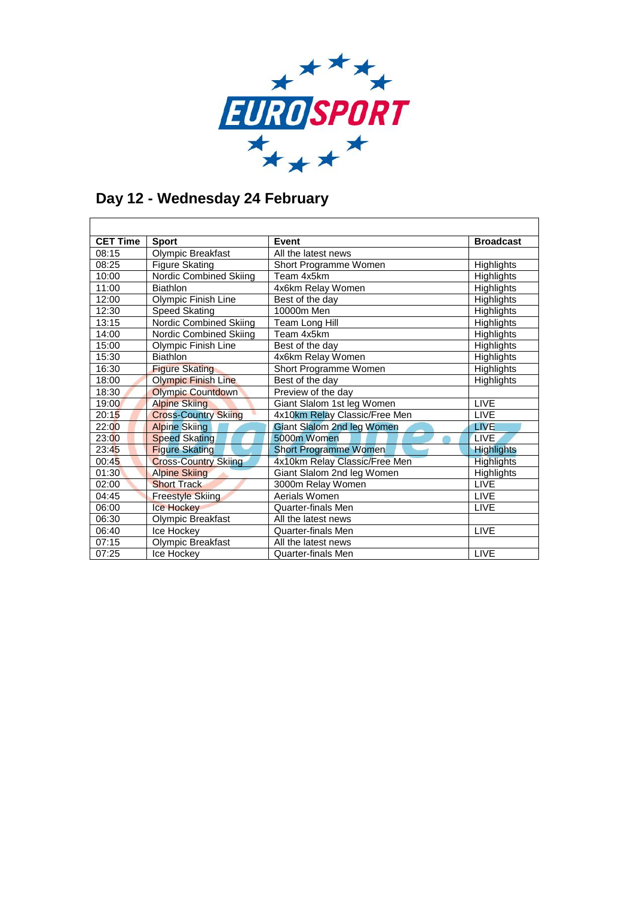

### **Day 12 - Wednesday 24 February**

| <b>CET Time</b> | <b>Sport</b>                  | Event                             | <b>Broadcast</b>  |
|-----------------|-------------------------------|-----------------------------------|-------------------|
| 08:15           | Olympic Breakfast             | All the latest news               |                   |
| 08:25           | <b>Figure Skating</b>         | Short Programme Women             | Highlights        |
| 10:00           | Nordic Combined Skiing        | Team 4x5km                        | Highlights        |
| 11:00           | <b>Biathlon</b>               | 4x6km Relay Women                 | Highlights        |
| 12:00           | Olympic Finish Line           | Best of the day                   | Highlights        |
| 12:30           | <b>Speed Skating</b>          | 10000m Men                        | Highlights        |
| 13:15           | <b>Nordic Combined Skiing</b> | Team Long Hill                    | Highlights        |
| 14:00           | Nordic Combined Skiing        | Team 4x5km                        | Highlights        |
| 15:00           | Olympic Finish Line           | Best of the day                   | Highlights        |
| 15:30           | <b>Biathlon</b>               | 4x6km Relay Women                 | Highlights        |
| 16:30           | <b>Figure Skating</b>         | Short Programme Women             | Highlights        |
| 18:00           | <b>Olympic Finish Line</b>    | Best of the day                   | Highlights        |
| 18:30           | <b>Olympic Countdown</b>      | Preview of the day                |                   |
| 19:00           | <b>Alpine Skiing</b>          | Giant Slalom 1st leg Women        | <b>LIVE</b>       |
| 20:15           | <b>Cross-Country Skiing</b>   | 4x10km Relay Classic/Free Men     | <b>LIVE</b>       |
| 22:00           | <b>Alpine Skiing</b>          | <b>Giant Slalom 2nd leg Women</b> | <b>LIVE</b>       |
| 23:00           | <b>Speed Skating</b>          | 5000m Women                       | <b>LIVE</b>       |
| 23:45           | <b>Figure Skating</b>         | <b>Short Programme Women</b>      | <b>Highlights</b> |
| 00:45           | <b>Cross-Country Skiing</b>   | 4x10km Relay Classic/Free Men     | <b>Highlights</b> |
| 01:30           | <b>Alpine Skiing</b>          | Giant Slalom 2nd leg Women        | Highlights        |
| 02:00           | <b>Short Track</b>            | 3000m Relay Women                 | <b>LIVE</b>       |
| 04:45           | <b>Freestyle Skiing</b>       | Aerials Women                     | <b>LIVE</b>       |
| 06:00           | <b>Ice Hockey</b>             | <b>Quarter-finals Men</b>         | <b>LIVE</b>       |
| 06:30           | Olympic Breakfast             | All the latest news               |                   |
| 06:40           | Ice Hockey                    | <b>Quarter-finals Men</b>         | <b>LIVE</b>       |
| 07:15           | Olympic Breakfast             | All the latest news               |                   |
| 07:25           | Ice Hockev                    | <b>Quarter-finals Men</b>         | <b>LIVE</b>       |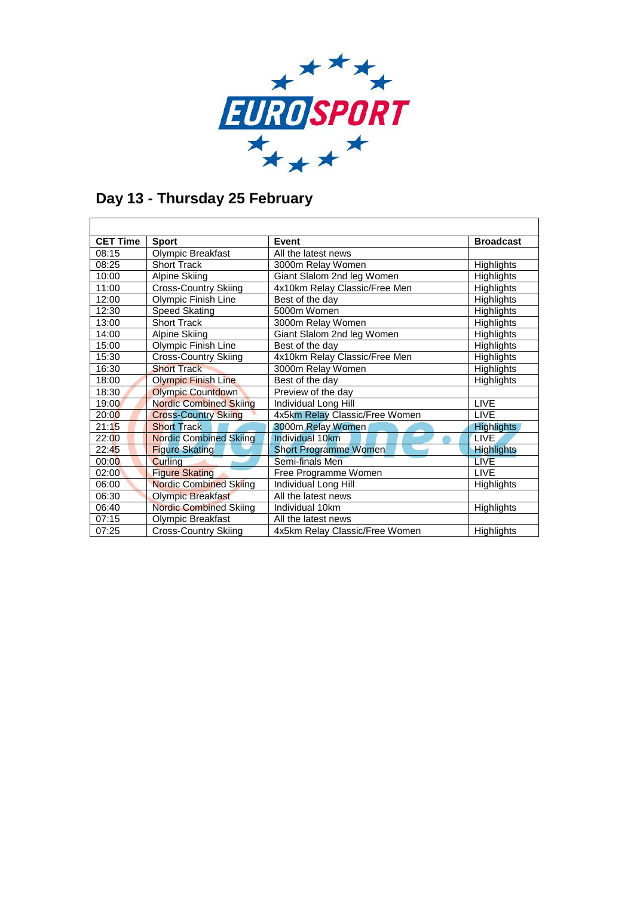

٦

## **Day 13 - Thursday 25 February**

| <b>CET Time</b> | <b>Sport</b>                  | Event                          | <b>Broadcast</b>  |
|-----------------|-------------------------------|--------------------------------|-------------------|
| 08:15           | Olympic Breakfast             | All the latest news            |                   |
| 08:25           | <b>Short Track</b>            | 3000m Relay Women              | <b>Highlights</b> |
| 10:00           | Alpine Skiing                 | Giant Slalom 2nd leg Women     | <b>Highlights</b> |
| 11:00           | <b>Cross-Country Skiing</b>   | 4x10km Relay Classic/Free Men  | Highlights        |
| 12:00           | Olympic Finish Line           | Best of the day                | <b>Highlights</b> |
| 12:30           | Speed Skating                 | 5000m Women                    | Highlights        |
| 13:00           | <b>Short Track</b>            | 3000m Relay Women              | Highlights        |
| 14:00           | Alpine Skiing                 | Giant Slalom 2nd leg Women     | Highlights        |
| 15:00           | Olympic Finish Line           | Best of the day                | Highlights        |
| 15:30           | <b>Cross-Country Skiing</b>   | 4x10km Relay Classic/Free Men  | Highlights        |
| 16:30           | <b>Short Track</b>            | 3000m Relay Women              | Highlights        |
| 18:00           | <b>Olympic Finish Line</b>    | Best of the day                | <b>Highlights</b> |
| 18:30           | <b>Olympic Countdown</b>      | Preview of the day             |                   |
| 19:00           | <b>Nordic Combined Skiing</b> | Individual Long Hill           | <b>LIVE</b>       |
| 20:00           | <b>Cross-Country Skiing</b>   | 4x5km Relay Classic/Free Women | <b>LIVE</b>       |
| 21:15           | <b>Short Track</b>            | 3000m Relay Women              | <b>Highlights</b> |
| 22:00           | <b>Nordic Combined Skiing</b> | Individual 10km                | <b>LIVE</b>       |
| 22:45           | <b>Figure Skating</b>         | <b>Short Programme Women</b>   | <b>Highlights</b> |
| 00:00           | Curlina                       | Semi-finals Men                | <b>LIVE</b>       |
| 02:00           | <b>Figure Skating</b>         | Free Programme Women           | <b>LIVE</b>       |
| 06:00           | <b>Nordic Combined Skiing</b> | Individual Long Hill           | <b>Highlights</b> |
| 06:30           | <b>Olympic Breakfast</b>      | All the latest news            |                   |
| 06:40           | <b>Nordic Combined Skiing</b> | Individual 10km                | Highlights        |
| 07:15           | Olympic Breakfast             | All the latest news            |                   |
| 07:25           | <b>Cross-Country Skiing</b>   | 4x5km Relay Classic/Free Women | <b>Highlights</b> |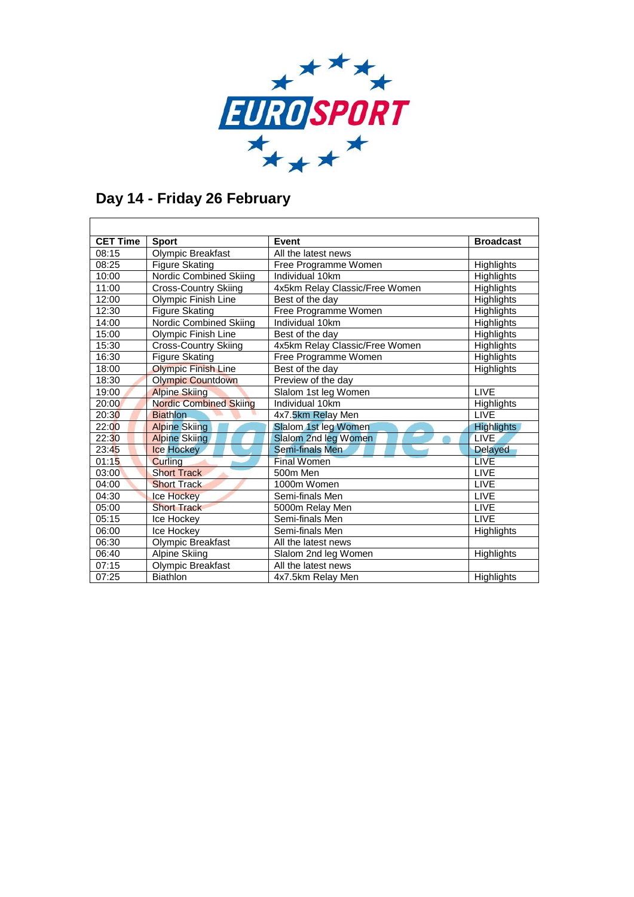

## **Day 14 - Friday 26 February**

| <b>CET Time</b> | <b>Sport</b>                  | Event                          | <b>Broadcast</b>  |
|-----------------|-------------------------------|--------------------------------|-------------------|
| 08:15           | <b>Olympic Breakfast</b>      | All the latest news            |                   |
| 08:25           | <b>Figure Skating</b>         | Free Programme Women           | Highlights        |
| 10:00           | Nordic Combined Skiing        | Individual 10km                | <b>Highlights</b> |
| 11:00           | <b>Cross-Country Skiing</b>   | 4x5km Relay Classic/Free Women | Highlights        |
| 12:00           | Olympic Finish Line           | Best of the day                | Highlights        |
| 12:30           | <b>Figure Skating</b>         | Free Programme Women           | <b>Highlights</b> |
| 14:00           | Nordic Combined Skiing        | Individual 10km                | Highlights        |
| 15:00           | Olympic Finish Line           | Best of the day                | Highlights        |
| 15:30           | Cross-Country Skiing          | 4x5km Relay Classic/Free Women | Highlights        |
| 16:30           | <b>Figure Skating</b>         | Free Programme Women           | Highlights        |
| 18:00           | <b>Olympic Finish Line</b>    | Best of the day                | Highlights        |
| 18:30           | <b>Olympic Countdown</b>      | Preview of the day             |                   |
| 19:00           | <b>Alpine Skiing</b>          | Slalom 1st leg Women           | <b>LIVE</b>       |
| 20:00           | <b>Nordic Combined Skiing</b> | Individual 10km                | Highlights        |
| 20:30           | <b>Biathlon</b>               | 4x7.5km Relay Men              | <b>LIVE</b>       |
| 22:00           | <b>Alpine Skiing</b>          | Slalom 1st leg Women           | <b>Highlights</b> |
| 22:30           | <b>Alpine Skiing</b>          | Slalom 2nd leg Women           | <b>LIVE</b>       |
| 23:45           | <b>Ice Hockey</b>             | Semi-finals Men                | <b>Delayed</b>    |
| 01:15           | Curling                       | <b>Final Women</b>             | <b>LIVE</b>       |
| 03:00           | <b>Short Track</b>            | 500m Men                       | LIVE              |
| 04:00           | <b>Short Track</b>            | 1000m Women                    | LIVE              |
| 04:30           | <b>Ice Hockey</b>             | Semi-finals Men                | <b>LIVE</b>       |
| 05:00           | <b>Short Track</b>            | 5000m Relay Men                | <b>LIVE</b>       |
| 05:15           | Ice Hockey                    | Semi-finals Men                | <b>LIVE</b>       |
| 06:00           | Ice Hockey                    | Semi-finals Men                | <b>Highlights</b> |
| 06:30           | Olympic Breakfast             | All the latest news            |                   |
| 06:40           | <b>Alpine Skiing</b>          | Slalom 2nd leg Women           | Highlights        |
| 07:15           | Olympic Breakfast             | All the latest news            |                   |
| 07:25           | <b>Biathlon</b>               | 4x7.5km Relay Men              | <b>Highlights</b> |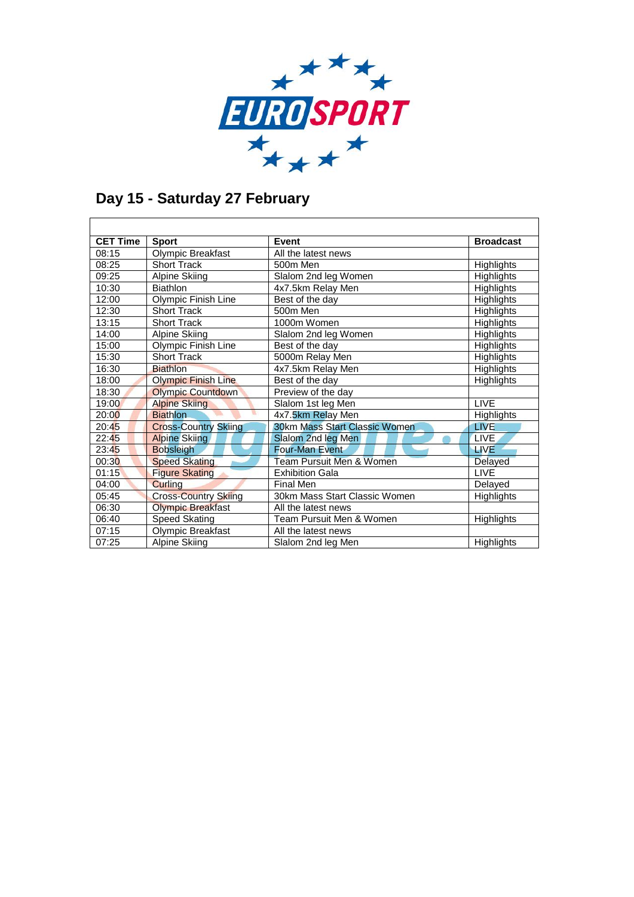

## **Day 15 - Saturday 27 February**

| <b>CET Time</b> | <b>Sport</b>                | Event                                | <b>Broadcast</b>  |
|-----------------|-----------------------------|--------------------------------------|-------------------|
| 08:15           | Olympic Breakfast           | All the latest news                  |                   |
| 08:25           | <b>Short Track</b>          | 500m Men                             | <b>Highlights</b> |
| 09:25           | Alpine Skiing               | Slalom 2nd leg Women                 | <b>Highlights</b> |
| 10:30           | <b>Biathlon</b>             | 4x7.5km Relay Men                    | <b>Highlights</b> |
| 12:00           | Olympic Finish Line         | Best of the day                      | Highlights        |
| 12:30           | <b>Short Track</b>          | 500m Men                             | <b>Highlights</b> |
| 13:15           | <b>Short Track</b>          | 1000m Women                          | Highlights        |
| 14:00           | <b>Alpine Skiing</b>        | Slalom 2nd leg Women                 | Highlights        |
| 15:00           | Olympic Finish Line         | Best of the day                      | <b>Highlights</b> |
| 15:30           | <b>Short Track</b>          | 5000m Relay Men                      | Highlights        |
| 16:30           | <b>Biathlon</b>             | 4x7.5km Relay Men                    | <b>Highlights</b> |
| 18:00           | <b>Olympic Finish Line</b>  | Best of the day                      | <b>Highlights</b> |
| 18:30           | <b>Olympic Countdown</b>    | Preview of the day                   |                   |
| 19:00           | <b>Alpine Skiing</b>        | Slalom 1st leg Men                   | <b>LIVE</b>       |
| 20:00           | <b>Biathlon</b>             | 4x7.5km Relay Men                    | Highlights        |
| 20:45           | <b>Cross-Country Skiing</b> | <b>30km Mass Start Classic Women</b> | <b>LIVE</b>       |
| 22:45           | <b>Alpine Skiing</b>        | Slalom 2nd leg Men                   | LIVE.             |
| 23:45           | <b>Bobsleigh</b>            | <b>Four-Man Event</b>                | <b>LIVE</b>       |
| 00:30           | <b>Speed Skating</b>        | <b>Team Pursuit Men &amp; Women</b>  | <b>Delayed</b>    |
| 01:15           | <b>Figure Skating</b>       | <b>Exhibition Gala</b>               | <b>LIVE</b>       |
| 04:00           | Curling                     | <b>Final Men</b>                     | Delayed           |
| 05:45           | <b>Cross-Country Skiing</b> | 30km Mass Start Classic Women        | <b>Highlights</b> |
| 06:30           | <b>Olympic Breakfast</b>    | All the latest news                  |                   |
| 06:40           | <b>Speed Skating</b>        | Team Pursuit Men & Women             | <b>Highlights</b> |
| 07:15           | Olympic Breakfast           | All the latest news                  |                   |
| 07:25           | Alpine Skiing               | Slalom 2nd leg Men                   | <b>Highlights</b> |